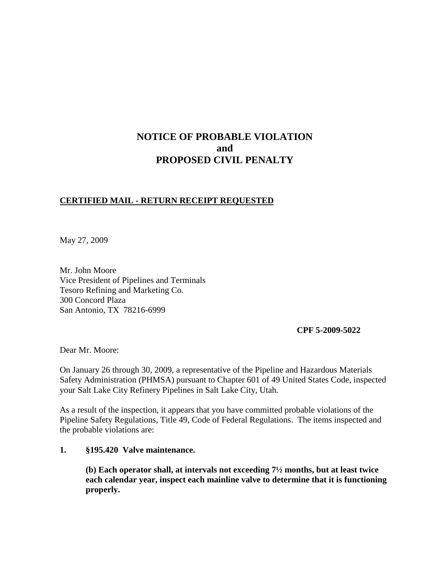# **NOTICE OF PROBABLE VIOLATION and PROPOSED CIVIL PENALTY**

# **CERTIFIED MAIL - RETURN RECEIPT REQUESTED**

May 27, 2009

Mr. John Moore Vice President of Pipelines and Terminals Tesoro Refining and Marketing Co. 300 Concord Plaza San Antonio, TX 78216-6999

**CPF 5-2009-5022**

Dear Mr. Moore:

On January 26 through 30, 2009, a representative of the Pipeline and Hazardous Materials Safety Administration (PHMSA) pursuant to Chapter 601 of 49 United States Code, inspected your Salt Lake City Refinery Pipelines in Salt Lake City, Utah.

As a result of the inspection, it appears that you have committed probable violations of the Pipeline Safety Regulations, Title 49, Code of Federal Regulations. The items inspected and the probable violations are:

# **1. §195.420 Valve maintenance.**

**(b) Each operator shall, at intervals not exceeding 7½ months, but at least twice each calendar year, inspect each mainline valve to determine that it is functioning properly.**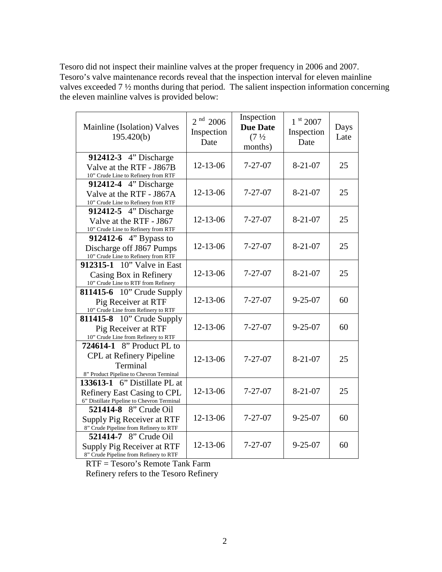Tesoro did not inspect their mainline valves at the proper frequency in 2006 and 2007. Tesoro's valve maintenance records reveal that the inspection interval for eleven mainline valves exceeded 7 ½ months during that period. The salient inspection information concerning the eleven mainline valves is provided below:

| Mainline (Isolation) Valves<br>195.420(b)                                                                        | $2nd$ 2006<br>Inspection<br>Date | Inspection<br><b>Due Date</b><br>(7 <sup>1</sup> / <sub>2</sub> )<br>months) | $1^{st}$ 2007<br>Inspection<br>Date | Days<br>Late |
|------------------------------------------------------------------------------------------------------------------|----------------------------------|------------------------------------------------------------------------------|-------------------------------------|--------------|
| 912412-3 4" Discharge<br>Valve at the RTF - J867B<br>10" Crude Line to Refinery from RTF                         | 12-13-06                         | $7 - 27 - 07$                                                                | $8 - 21 - 07$                       | 25           |
| 912412-4 4" Discharge<br>Valve at the RTF - J867A<br>10" Crude Line to Refinery from RTF                         | 12-13-06                         | $7 - 27 - 07$                                                                | $8 - 21 - 07$                       | 25           |
| 912412-5 4" Discharge<br>Valve at the RTF - J867<br>10" Crude Line to Refinery from RTF                          | 12-13-06                         | $7 - 27 - 07$                                                                | $8 - 21 - 07$                       | 25           |
| <b>912412-6</b> 4" Bypass to<br>Discharge off J867 Pumps<br>10" Crude Line to Refinery from RTF                  | 12-13-06                         | $7 - 27 - 07$                                                                | $8 - 21 - 07$                       | 25           |
| 912315-1 10" Valve in East<br>Casing Box in Refinery<br>10" Crude Line to RTF from Refinery                      | $12 - 13 - 06$                   | $7 - 27 - 07$                                                                | $8 - 21 - 07$                       | 25           |
| <b>811415-6</b> 10" Crude Supply<br>Pig Receiver at RTF<br>10" Crude Line from Refinery to RTF                   | $12 - 13 - 06$                   | $7 - 27 - 07$                                                                | $9 - 25 - 07$                       | 60           |
| <b>811415-8</b> 10" Crude Supply<br>Pig Receiver at RTF<br>10" Crude Line from Refinery to RTF                   | $12 - 13 - 06$                   | $7 - 27 - 07$                                                                | $9 - 25 - 07$                       | 60           |
| 724614-1 8" Product PL to<br>CPL at Refinery Pipeline<br>Terminal<br>8" Product Pipeline to Chevron Terminal     | $12 - 13 - 06$                   | $7 - 27 - 07$                                                                | $8 - 21 - 07$                       | 25           |
| 133613-1 6" Distillate PL at<br><b>Refinery East Casing to CPL</b><br>6" Distillate Pipeline to Chevron Terminal | 12-13-06                         | $7 - 27 - 07$                                                                | $8 - 21 - 07$                       | 25           |
| 521414-8 8" Crude Oil<br>Supply Pig Receiver at RTF<br>8" Crude Pipeline from Refinery to RTF                    | 12-13-06                         | $7 - 27 - 07$                                                                | $9 - 25 - 07$                       | 60           |
| <b>521414-7</b> 8" Crude Oil<br>Supply Pig Receiver at RTF<br>8" Crude Pipeline from Refinery to RTF             | 12-13-06                         | $7 - 27 - 07$                                                                | $9 - 25 - 07$                       | 60           |

RTF = Tesoro's Remote Tank Farm

Refinery refers to the Tesoro Refinery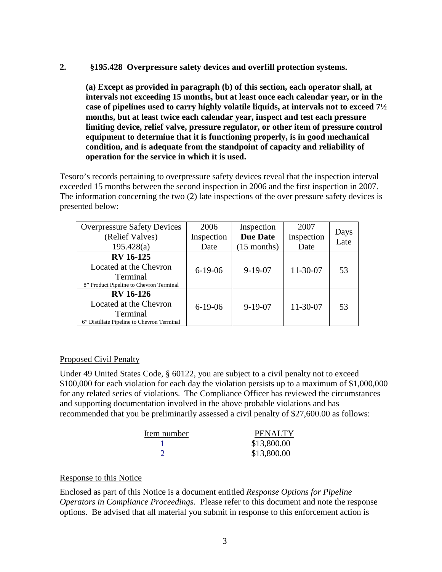## **2. §195.428 Overpressure safety devices and overfill protection systems.**

**(a) Except as provided in paragraph (b) of this section, each operator shall, at intervals not exceeding 15 months, but at least once each calendar year, or in the case of pipelines used to carry highly volatile liquids, at intervals not to exceed 7½ months, but at least twice each calendar year, inspect and test each pressure limiting device, relief valve, pressure regulator, or other item of pressure control equipment to determine that it is functioning properly, is in good mechanical condition, and is adequate from the standpoint of capacity and reliability of operation for the service in which it is used.**

Tesoro's records pertaining to overpressure safety devices reveal that the inspection interval exceeded 15 months between the second inspection in 2006 and the first inspection in 2007. The information concerning the two (2) late inspections of the over pressure safety devices is presented below:

| <b>Overpressure Safety Devices</b>         | 2006          | Inspection      | 2007           |              |
|--------------------------------------------|---------------|-----------------|----------------|--------------|
| (Relief Valves)                            | Inspection    | <b>Due Date</b> | Inspection     | Days<br>Late |
| 195.428(a)                                 | Date          | $(15$ months)   | Date           |              |
| <b>RV</b> 16-125                           |               | $9 - 19 - 07$   | $11 - 30 - 07$ | 53           |
| Located at the Chevron                     | $6 - 19 - 06$ |                 |                |              |
| Terminal                                   |               |                 |                |              |
| 8" Product Pipeline to Chevron Terminal    |               |                 |                |              |
| <b>RV</b> 16-126                           |               |                 |                |              |
| Located at the Chevron                     | $6-19-06$     | $9 - 19 - 07$   | 11-30-07       | 53           |
| Terminal                                   |               |                 |                |              |
| 6" Distillate Pipeline to Chevron Terminal |               |                 |                |              |

## Proposed Civil Penalty

Under 49 United States Code, § 60122, you are subject to a civil penalty not to exceed \$100,000 for each violation for each day the violation persists up to a maximum of \$1,000,000 for any related series of violations. The Compliance Officer has reviewed the circumstances and supporting documentation involved in the above probable violations and has recommended that you be preliminarily assessed a civil penalty of \$27,600.00 as follows:

| Item number | PENALTY     |
|-------------|-------------|
|             | \$13,800.00 |
|             | \$13,800.00 |

## Response to this Notice

Enclosed as part of this Notice is a document entitled *Response Options for Pipeline Operators in Compliance Proceedings*. Please refer to this document and note the response options. Be advised that all material you submit in response to this enforcement action is